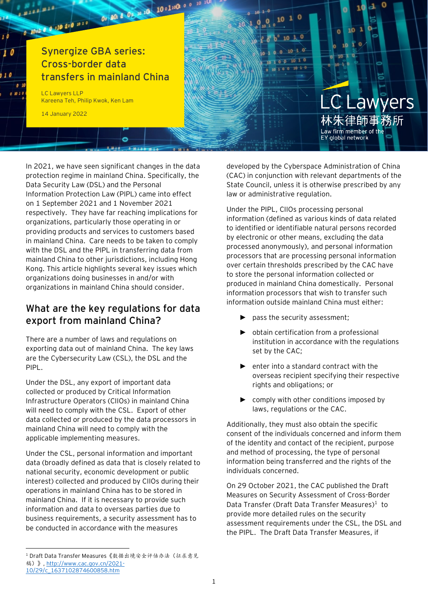

In 2021, we have seen significant changes in the data protection regime in mainland China. Specifically, the Data Security Law (DSL) and the Personal Information Protection Law (PIPL) came into effect on 1 September 2021 and 1 November 2021 respectively. They have far reaching implications for organizations, particularly those operating in or providing products and services to customers based in mainland China. Care needs to be taken to comply with the DSL and the PIPL in transferring data from mainland China to other jurisdictions, including Hong Kong. This article highlights several key issues which organizations doing businesses in and/or with organizations in mainland China should consider.

#### **What are the key regulations for data export from mainland China?**

There are a number of laws and regulations on exporting data out of mainland China. The key laws are the Cybersecurity Law (CSL), the DSL and the PIPL.

Under the DSL, any export of important data collected or produced by Critical Information Infrastructure Operators (CIIOs) in mainland China will need to comply with the CSL. Export of other data collected or produced by the data processors in mainland China will need to comply with the applicable implementing measures.

Under the CSL, personal information and important data (broadly defined as data that is closely related to national security, economic development or public interest) collected and produced by CIIOs during their operations in mainland China has to be stored in mainland China. If it is necessary to provide such information and data to overseas parties due to business requirements, a security assessment has to be conducted in accordance with the measures

1 Draft Data Transfer Measures《数据出境安全评估办法(征求意见 稿)》[, http://www.cac.gov.cn/2021-](http://www.cac.gov.cn/2021-10/29/c_1637102874600858.htm) [10/29/c\\_1637102874600858.htm](http://www.cac.gov.cn/2021-10/29/c_1637102874600858.htm)

developed by the Cyberspace Administration of China (CAC) in conjunction with relevant departments of the State Council, unless it is otherwise prescribed by any law or administrative regulation.

Under the PIPL, CIIOs processing personal information (defined as various kinds of data related to identified or identifiable natural persons recorded by electronic or other means, excluding the data processed anonymously), and personal information processors that are processing personal information over certain thresholds prescribed by the CAC have to store the personal information collected or produced in mainland China domestically. Personal information processors that wish to transfer such information outside mainland China must either:

- ► pass the security assessment;
- ► obtain certification from a professional institution in accordance with the regulations set by the CAC;
- ► enter into a standard contract with the overseas recipient specifying their respective rights and obligations; or
- ► comply with other conditions imposed by laws, regulations or the CAC.

Additionally, they must also obtain the specific consent of the individuals concerned and inform them of the identity and contact of the recipient, purpose and method of processing, the type of personal information being transferred and the rights of the individuals concerned.

On 29 October 2021, the CAC published the Draft Measures on Security Assessment of Cross-Border Data Transfer (Draft Data Transfer Measures)<sup>1</sup> to provide more detailed rules on the security assessment requirements under the CSL, the DSL and the PIPL. The Draft Data Transfer Measures, if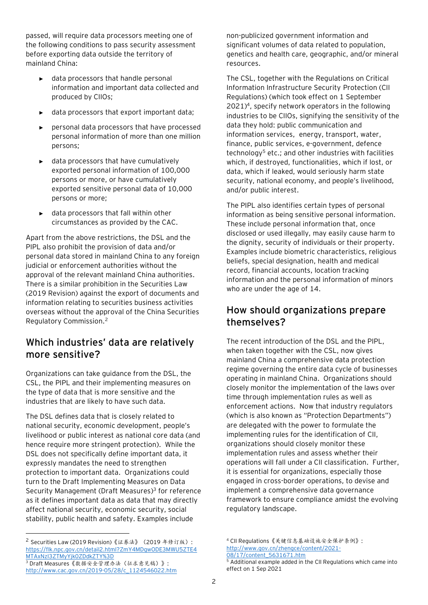passed, will require data processors meeting one of the following conditions to pass security assessment before exporting data outside the territory of mainland China:

- data processors that handle personal information and important data collected and produced by CIIOs;
- data processors that export important data;
- personal data processors that have processed personal information of more than one million persons;
- data processors that have cumulatively exported personal information of 100,000 persons or more, or have cumulatively exported sensitive personal data of 10,000 persons or more;
- data processors that fall within other circumstances as provided by the CAC.

Apart from the above restrictions, the DSL and the PIPL also prohibit the provision of data and/or personal data stored in mainland China to any foreign judicial or enforcement authorities without the approval of the relevant mainland China authorities. There is a similar prohibition in the Securities Law (2019 Revision) against the export of documents and information relating to securities business activities overseas without the approval of the China Securities Regulatory Commission.<sup>2</sup>

## **Which industries' data are relatively more sensitive?**

Organizations can take guidance from the DSL, the CSL, the PIPL and their implementing measures on the type of data that is more sensitive and the industries that are likely to have such data.

The DSL defines data that is closely related to national security, economic development, people's livelihood or public interest as national core data (and hence require more stringent protection). While the DSL does not specifically define important data, it expressly mandates the need to strengthen protection to important data. Organizations could turn to the Draft Implementing Measures on Data Security Management (Draft Measures) 3 for reference as it defines important data as data that may directly affect national security, economic security, social stability, public health and safety. Examples include

non-publicized government information and significant volumes of data related to population, genetics and health care, geographic, and/or mineral resources.

The CSL, together with the Regulations on Critical Information Infrastructure Security Protection (CII Regulations) (which took effect on 1 September 2021)<sup>4</sup> , specify network operators in the following industries to be CIIOs, signifying the sensitivity of the data they hold: public communication and information services, energy, transport, water, finance, public services, e-government, defence technology<sup>5</sup> etc.; and other industries with facilities which, if destroyed, functionalities, which if lost, or data, which if leaked, would seriously harm state security, national economy, and people's livelihood, and/or public interest.

The PIPL also identifies certain types of personal information as being sensitive personal information. These include personal information that, once disclosed or used illegally, may easily cause harm to the dignity, security of individuals or their property. Examples include biometric characteristics, religious beliefs, special designation, health and medical record, financial accounts, location tracking information and the personal information of minors who are under the age of 14.

### **How should organizations prepare themselves?**

The recent introduction of the DSL and the PIPL, when taken together with the CSL, now gives mainland China a comprehensive data protection regime governing the entire data cycle of businesses operating in mainland China. Organizations should closely monitor the implementation of the laws over time through implementation rules as well as enforcement actions. Now that industry regulators (which is also known as "Protection Departments") are delegated with the power to formulate the implementing rules for the identification of CII, organizations should closely monitor these implementation rules and assess whether their operations will fall under a CII classification. Further, it is essential for organizations, especially those engaged in cross-border operations, to devise and implement a comprehensive data governance framework to ensure compliance amidst the evolving regulatory landscape.

<sup>&</sup>lt;sup>2</sup> Securities Law (2019 Revision)《证券法》(2019年修订版): [https://flk.npc.gov.cn/detail2.html?ZmY4MDgwODE3MWU5ZTE4](https://flk.npc.gov.cn/detail2.html?ZmY4MDgwODE3MWU5ZTE4MTAxNzI3ZTMyYjk0ZDdkZTY%3D) [MTAxNzI3ZTMyYjk0ZDdkZTY%3D](https://flk.npc.gov.cn/detail2.html?ZmY4MDgwODE3MWU5ZTE4MTAxNzI3ZTMyYjk0ZDdkZTY%3D)

<sup>3</sup> Draft Measures《数据安全管理办法(征求意见稿)》: [http://www.cac.gov.cn/2019-05/28/c\\_1124546022.htm](http://www.cac.gov.cn/2019-05/28/c_1124546022.htm)

<sup>4</sup> CII Regulations《关键信息基础设施安全保护条例》: [http://www.gov.cn/zhengce/content/2021-](http://www.gov.cn/zhengce/content/2021-08/17/content_5631671.htm) [08/17/content\\_5631671.htm](http://www.gov.cn/zhengce/content/2021-08/17/content_5631671.htm)

<sup>5</sup> Additional example added in the CII Regulations which came into effect on 1 Sep 2021